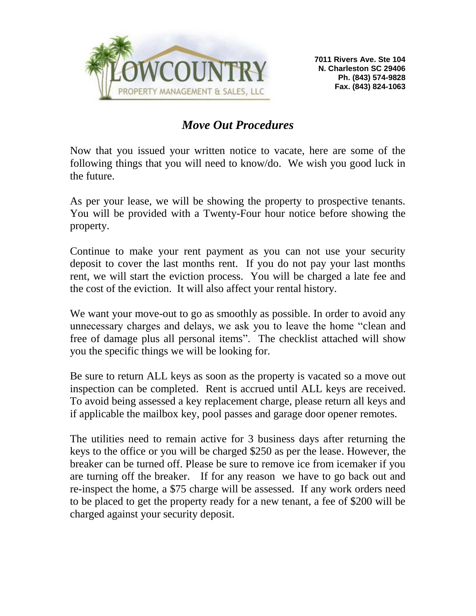

# *Move Out Procedures*

Now that you issued your written notice to vacate, here are some of the following things that you will need to know/do. We wish you good luck in the future.

As per your lease, we will be showing the property to prospective tenants. You will be provided with a Twenty-Four hour notice before showing the property.

Continue to make your rent payment as you can not use your security deposit to cover the last months rent. If you do not pay your last months rent, we will start the eviction process. You will be charged a late fee and the cost of the eviction. It will also affect your rental history.

We want your move-out to go as smoothly as possible. In order to avoid any unnecessary charges and delays, we ask you to leave the home "clean and free of damage plus all personal items". The checklist attached will show you the specific things we will be looking for.

Be sure to return ALL keys as soon as the property is vacated so a move out inspection can be completed. Rent is accrued until ALL keys are received. To avoid being assessed a key replacement charge, please return all keys and if applicable the mailbox key, pool passes and garage door opener remotes.

The utilities need to remain active for 3 business days after returning the keys to the office or you will be charged \$250 as per the lease. However, the breaker can be turned off. Please be sure to remove ice from icemaker if you are turning off the breaker. If for any reason we have to go back out and re-inspect the home, a \$75 charge will be assessed. If any work orders need to be placed to get the property ready for a new tenant, a fee of \$200 will be charged against your security deposit.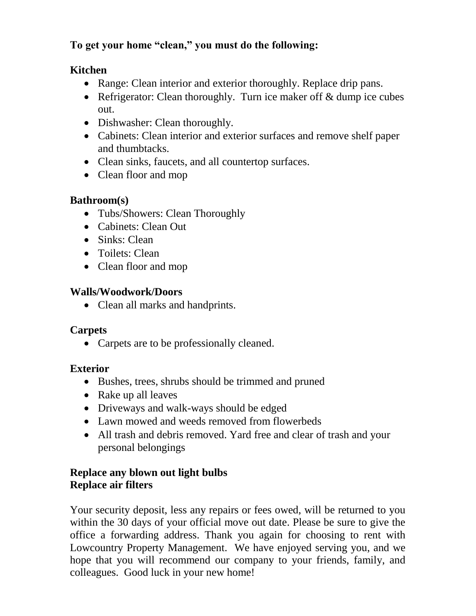# **To get your home "clean," you must do the following:**

#### **Kitchen**

- Range: Clean interior and exterior thoroughly. Replace drip pans.
- Refrigerator: Clean thoroughly. Turn ice maker off & dump ice cubes out.
- Dishwasher: Clean thoroughly.
- Cabinets: Clean interior and exterior surfaces and remove shelf paper and thumbtacks.
- Clean sinks, faucets, and all countertop surfaces.
- Clean floor and mop

# **Bathroom(s)**

- Tubs/Showers: Clean Thoroughly
- Cabinets: Clean Out
- Sinks: Clean
- Toilets: Clean
- Clean floor and mop

#### **Walls/Woodwork/Doors**

• Clean all marks and handprints.

# **Carpets**

• Carpets are to be professionally cleaned.

# **Exterior**

- Bushes, trees, shrubs should be trimmed and pruned
- Rake up all leaves
- Driveways and walk-ways should be edged
- Lawn mowed and weeds removed from flowerbeds
- All trash and debris removed. Yard free and clear of trash and your personal belongings

#### **Replace any blown out light bulbs Replace air filters**

Your security deposit, less any repairs or fees owed, will be returned to you within the 30 days of your official move out date. Please be sure to give the office a forwarding address. Thank you again for choosing to rent with Lowcountry Property Management. We have enjoyed serving you, and we hope that you will recommend our company to your friends, family, and colleagues. Good luck in your new home!